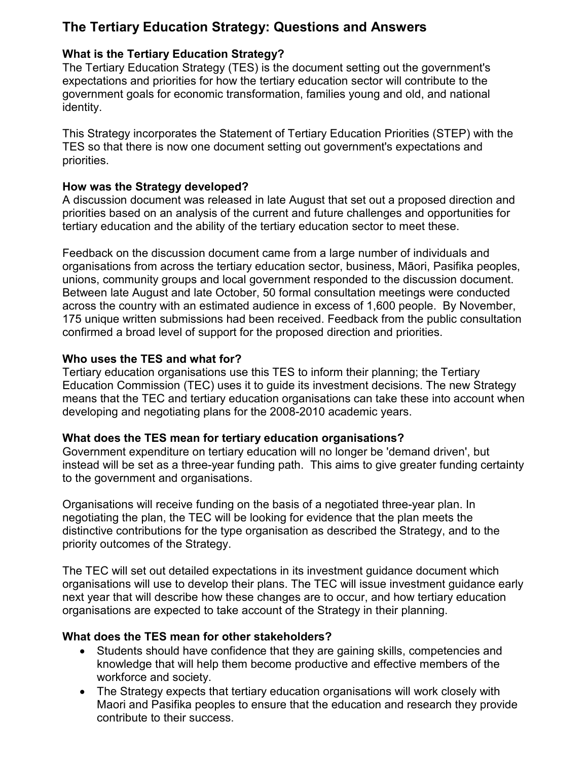# The Tertiary Education Strategy: Questions and Answers

# What is the Tertiary Education Strategy?

The Tertiary Education Strategy (TES) is the document setting out the government's expectations and priorities for how the tertiary education sector will contribute to the government goals for economic transformation, families young and old, and national identity.

This Strategy incorporates the Statement of Tertiary Education Priorities (STEP) with the TES so that there is now one document setting out government's expectations and priorities.

### How was the Strategy developed?

A discussion document was released in late August that set out a proposed direction and priorities based on an analysis of the current and future challenges and opportunities for tertiary education and the ability of the tertiary education sector to meet these.

Feedback on the discussion document came from a large number of individuals and organisations from across the tertiary education sector, business, Māori, Pasifika peoples, unions, community groups and local government responded to the discussion document. Between late August and late October, 50 formal consultation meetings were conducted across the country with an estimated audience in excess of 1,600 people. By November, 175 unique written submissions had been received. Feedback from the public consultation confirmed a broad level of support for the proposed direction and priorities.

# Who uses the TES and what for?

Tertiary education organisations use this TES to inform their planning; the Tertiary Education Commission (TEC) uses it to guide its investment decisions. The new Strategy means that the TEC and tertiary education organisations can take these into account when developing and negotiating plans for the 2008-2010 academic years.

# What does the TES mean for tertiary education organisations?

Government expenditure on tertiary education will no longer be 'demand driven', but instead will be set as a three-year funding path. This aims to give greater funding certainty to the government and organisations.

Organisations will receive funding on the basis of a negotiated three-year plan. In negotiating the plan, the TEC will be looking for evidence that the plan meets the distinctive contributions for the type organisation as described the Strategy, and to the priority outcomes of the Strategy.

The TEC will set out detailed expectations in its investment guidance document which organisations will use to develop their plans. The TEC will issue investment guidance early next year that will describe how these changes are to occur, and how tertiary education organisations are expected to take account of the Strategy in their planning.

# What does the TES mean for other stakeholders?

- Students should have confidence that they are gaining skills, competencies and knowledge that will help them become productive and effective members of the workforce and society.
- The Strategy expects that tertiary education organisations will work closely with Maori and Pasifika peoples to ensure that the education and research they provide contribute to their success.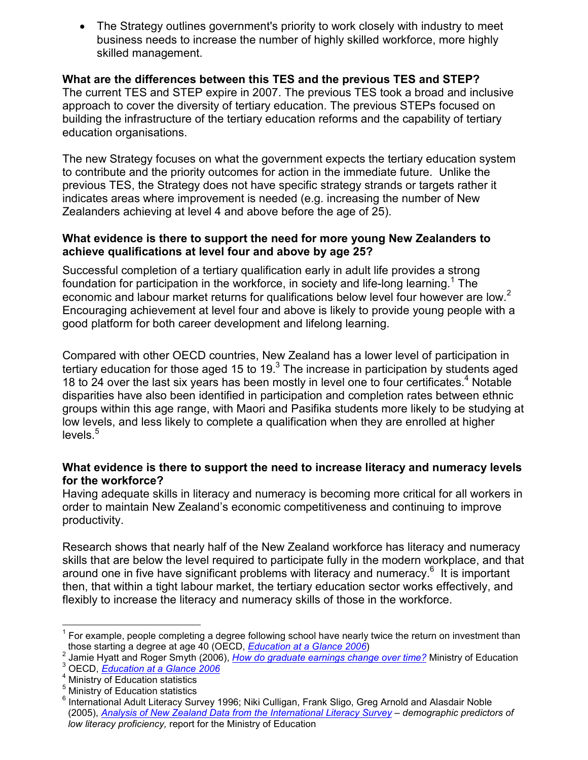• The Strategy outlines government's priority to work closely with industry to meet business needs to increase the number of highly skilled workforce, more highly skilled management.

What are the differences between this TES and the previous TES and STEP? The current TES and STEP expire in 2007. The previous TES took a broad and inclusive approach to cover the diversity of tertiary education. The previous STEPs focused on building the infrastructure of the tertiary education reforms and the capability of tertiary education organisations.

The new Strategy focuses on what the government expects the tertiary education system to contribute and the priority outcomes for action in the immediate future. Unlike the previous TES, the Strategy does not have specific strategy strands or targets rather it indicates areas where improvement is needed (e.g. increasing the number of New Zealanders achieving at level 4 and above before the age of 25).

#### What evidence is there to support the need for more young New Zealanders to achieve qualifications at level four and above by age 25?

Successful completion of a tertiary qualification early in adult life provides a strong foundation for participation in the workforce, in society and life-long learning.<sup>1</sup> The economic and labour market returns for qualifications below level four however are low.<sup>2</sup> Encouraging achievement at level four and above is likely to provide young people with a good platform for both career development and lifelong learning.

Compared with other OECD countries, New Zealand has a lower level of participation in tertiary education for those aged 15 to 19.<sup>3</sup> The increase in participation by students aged 18 to 24 over the last six years has been mostly in level one to four certificates.<sup>4</sup> Notable disparities have also been identified in participation and completion rates between ethnic groups within this age range, with Maori and Pasifika students more likely to be studying at low levels, and less likely to complete a qualification when they are enrolled at higher  $levels<sup>5</sup>$ 

### What evidence is there to support the need to increase literacy and numeracy levels for the workforce?

Having adequate skills in literacy and numeracy is becoming more critical for all workers in order to maintain New Zealand's economic competitiveness and continuing to improve productivity.

Research shows that nearly half of the New Zealand workforce has literacy and numeracy skills that are below the level required to participate fully in the modern workplace, and that around one in five have significant problems with literacy and numeracy.<sup>6</sup> It is important then, that within a tight labour market, the tertiary education sector works effectively, and flexibly to increase the literacy and numeracy skills of those in the workforce.

<sup>————————————————————&</sup>lt;br><sup>1</sup> For example, people completing a degree following school have nearly twice the return on investment than those starting a degree at age 40 (OECD, *Education at a Glance 2006*)

<sup>&</sup>lt;sup>2</sup> Jamie Hyatt and Roger Smyth (2006), *How do graduate earnings change over time?* Ministry of Education  $^3$  OECD,  $\dot{E}$ ducation at a Glance 2006

<sup>&</sup>lt;sup>4</sup> Ministry of Education statistics

<sup>&</sup>lt;sup>5</sup> Ministry of Education statistics

<sup>6</sup> International Adult Literacy Survey 1996; Niki Culligan, Frank Sligo, Greg Arnold and Alasdair Noble (2005), Analysis of New Zealand Data from the International Literacy Survey – demographic predictors of low literacy proficiency, report for the Ministry of Education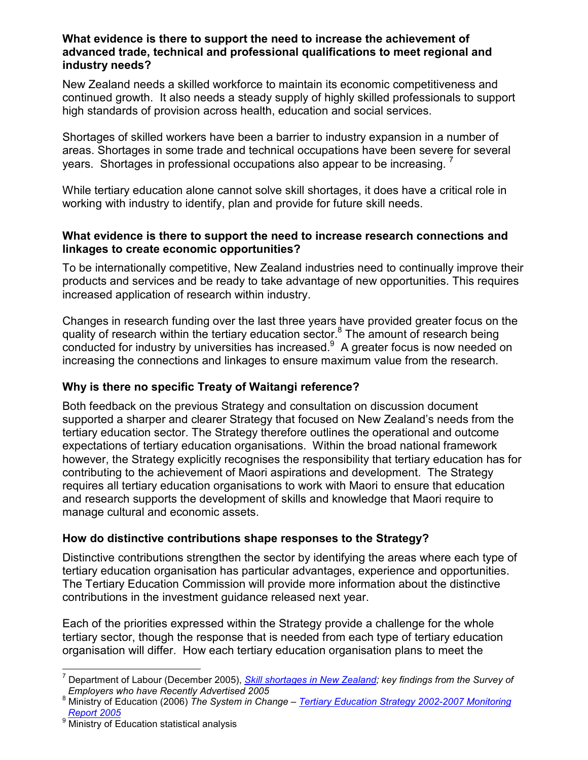#### What evidence is there to support the need to increase the achievement of advanced trade, technical and professional qualifications to meet regional and industry needs?

New Zealand needs a skilled workforce to maintain its economic competitiveness and continued growth. It also needs a steady supply of highly skilled professionals to support high standards of provision across health, education and social services.

Shortages of skilled workers have been a barrier to industry expansion in a number of areas. Shortages in some trade and technical occupations have been severe for several years. Shortages in professional occupations also appear to be increasing.

While tertiary education alone cannot solve skill shortages, it does have a critical role in working with industry to identify, plan and provide for future skill needs.

#### What evidence is there to support the need to increase research connections and linkages to create economic opportunities?

To be internationally competitive, New Zealand industries need to continually improve their products and services and be ready to take advantage of new opportunities. This requires increased application of research within industry.

Changes in research funding over the last three years have provided greater focus on the quality of research within the tertiary education sector.<sup>8</sup> The amount of research being conducted for industry by universities has increased. $9$  A greater focus is now needed on increasing the connections and linkages to ensure maximum value from the research.

# Why is there no specific Treaty of Waitangi reference?

Both feedback on the previous Strategy and consultation on discussion document supported a sharper and clearer Strategy that focused on New Zealand's needs from the tertiary education sector. The Strategy therefore outlines the operational and outcome expectations of tertiary education organisations. Within the broad national framework however, the Strategy explicitly recognises the responsibility that tertiary education has for contributing to the achievement of Maori aspirations and development. The Strategy requires all tertiary education organisations to work with Maori to ensure that education and research supports the development of skills and knowledge that Maori require to manage cultural and economic assets.

# How do distinctive contributions shape responses to the Strategy?

Distinctive contributions strengthen the sector by identifying the areas where each type of tertiary education organisation has particular advantages, experience and opportunities. The Tertiary Education Commission will provide more information about the distinctive contributions in the investment guidance released next year.

Each of the priorities expressed within the Strategy provide a challenge for the whole tertiary sector, though the response that is needed from each type of tertiary education organisation will differ. How each tertiary education organisation plans to meet the

 7 Department of Labour (December 2005), Skill shortages in New Zealand; key findings from the Survey of Employers who have Recently Advertised 2005

<sup>&</sup>lt;sup>8</sup> Ministry of Education (2006) The System in Change – Tertiary Education Strategy 2002-2007 Monitoring Report 2005

<sup>9</sup> Ministry of Education statistical analysis